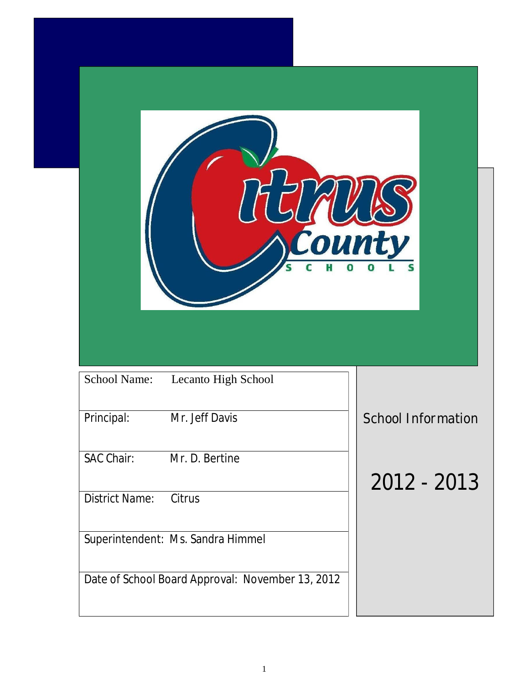| Lecanto High School |                                                                      |                           |               |
|---------------------|----------------------------------------------------------------------|---------------------------|---------------|
|                     |                                                                      | <b>School Information</b> |               |
|                     |                                                                      |                           |               |
|                     |                                                                      |                           |               |
|                     | Mr. Jeff Davis<br>SAC Chair: Mr. D. Bertine<br>District Name: Citrus |                           | $2012 - 2013$ |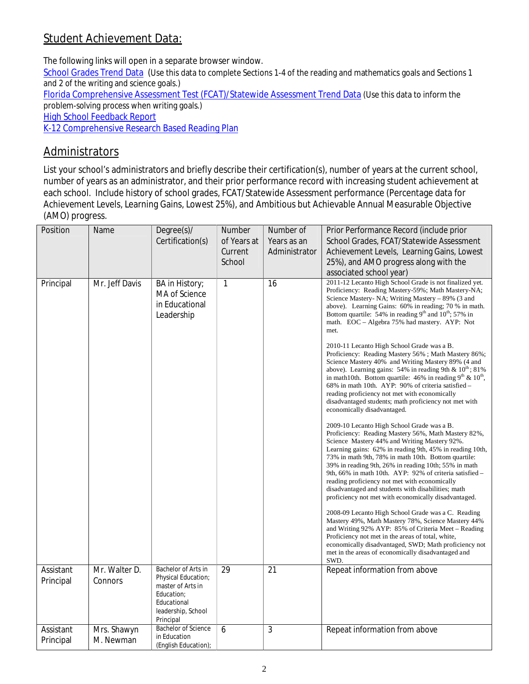## **Student Achievement Data:**

The following links will open in a separate browser window.

School Grades Trend Data (Use this data to complete Sections 1-4 of the reading and mathematics goals and Sections 1 and 2 of the writing and science goals.)

Florida Comprehensive Assessment Test (FCAT)/Statewide Assessment Trend Data (Use this data to inform the problem-solving process when writing goals.)

**High School Feedback Report** 

K-12 Comprehensive Research Based Reading Plan

## **Administrators**

List your school's administrators and briefly describe their certification(s), number of years at the current school, number of years as an administrator, and their prior performance record with increasing student achievement at each school. Include history of school grades, FCAT/Statewide Assessment performance (Percentage data for Achievement Levels, Learning Gains, Lowest 25%), and Ambitious but Achievable Annual Measurable Objective (AMO) progress.

| Position               | Name                     | Degree(s)/<br>Certification(s)                                                                                                  | Number<br>of Years at<br>Current<br>School | Number of<br>Years as an<br>Administrator | Prior Performance Record (include prior<br>School Grades, FCAT/Statewide Assessment<br>Achievement Levels, Learning Gains, Lowest<br>25%), and AMO progress along with the<br>associated school year)                                                                                                                                                                                                                                                                                                                                                  |
|------------------------|--------------------------|---------------------------------------------------------------------------------------------------------------------------------|--------------------------------------------|-------------------------------------------|--------------------------------------------------------------------------------------------------------------------------------------------------------------------------------------------------------------------------------------------------------------------------------------------------------------------------------------------------------------------------------------------------------------------------------------------------------------------------------------------------------------------------------------------------------|
| Principal              | Mr. Jeff Davis           | BA in History;<br>MA of Science<br>in Educational<br>Leadership                                                                 | 1                                          | 16                                        | 2011-12 Lecanto High School Grade is not finalized yet.<br>Proficiency: Reading Mastery-59%; Math Mastery-NA;<br>Science Mastery-NA; Writing Mastery – 89% (3 and<br>above). Learning Gains: 60% in reading; 70 % in math.<br>Bottom quartile: 54% in reading 9 <sup>th</sup> and 10 <sup>th</sup> ; 57% in<br>math. EOC - Algebra 75% had mastery. AYP: Not<br>met.                                                                                                                                                                                   |
|                        |                          |                                                                                                                                 |                                            |                                           | 2010-11 Lecanto High School Grade was a B.<br>Proficiency: Reading Mastery 56%; Math Mastery 86%;<br>Science Mastery 40% and Writing Mastery 89% (4 and<br>above). Learning gains: 54% in reading 9th & $10^{th}$ ; 81%<br>in math10th. Bottom quartile: 46% in reading $9th$ & $10th$ ,<br>68% in math 10th. AYP: 90% of criteria satisfied –<br>reading proficiency not met with economically<br>disadvantaged students; math proficiency not met with<br>economically disadvantaged.                                                                |
|                        |                          |                                                                                                                                 |                                            |                                           | 2009-10 Lecanto High School Grade was a B.<br>Proficiency: Reading Mastery 56%, Math Mastery 82%,<br>Science Mastery 44% and Writing Mastery 92%.<br>Learning gains: 62% in reading 9th, 45% in reading 10th,<br>73% in math 9th, 78% in math 10th. Bottom quartile:<br>39% in reading 9th, 26% in reading 10th; 55% in math<br>9th, 66% in math 10th. AYP: 92% of criteria satisfied –<br>reading proficiency not met with economically<br>disadvantaged and students with disabilities; math<br>proficiency not met with economically disadvantaged. |
|                        |                          |                                                                                                                                 |                                            |                                           | 2008-09 Lecanto High School Grade was a C. Reading<br>Mastery 49%, Math Mastery 78%, Science Mastery 44%<br>and Writing 92% AYP: 85% of Criteria Meet – Reading<br>Proficiency not met in the areas of total, white,<br>economically disadvantaged, SWD; Math proficiency not<br>met in the areas of economically disadvantaged and<br>SWD.                                                                                                                                                                                                            |
| Assistant<br>Principal | Mr. Walter D.<br>Connors | Bachelor of Arts in<br>Physical Education;<br>master of Arts in<br>Education:<br>Educational<br>leadership, School<br>Principal | 29                                         | 21                                        | Repeat information from above                                                                                                                                                                                                                                                                                                                                                                                                                                                                                                                          |
| Assistant<br>Principal | Mrs. Shawyn<br>M. Newman | Bachelor of Science<br>in Education<br>(English Education)                                                                      | 6                                          | 3                                         | Repeat information from above                                                                                                                                                                                                                                                                                                                                                                                                                                                                                                                          |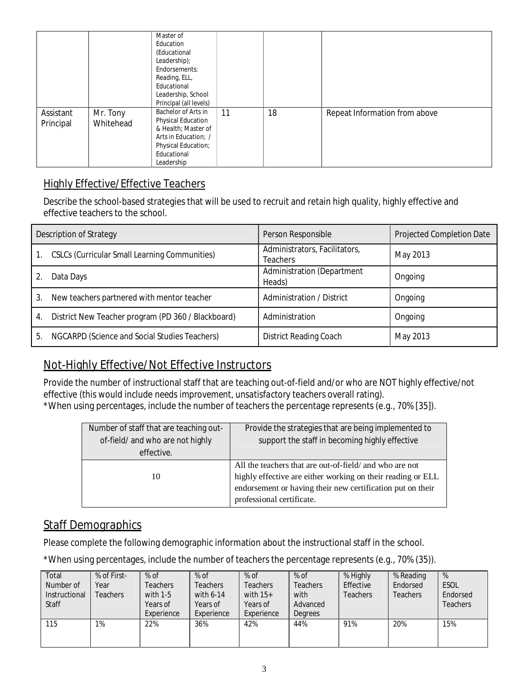|                        |                       | Master of<br>Education<br>(Educational<br>Leadership);<br>Endorsements:<br>Reading, ELL,<br>Educational<br>Leadership, School<br>Principal (all levels) |    |    |                               |
|------------------------|-----------------------|---------------------------------------------------------------------------------------------------------------------------------------------------------|----|----|-------------------------------|
| Assistant<br>Principal | Mr. Tony<br>Whitehead | Bachelor of Arts in<br>Physical Education<br>& Health: Master of<br>Arts in Education: /<br>Physical Education;<br>Educational<br>Leadership            | 11 | 18 | Repeat Information from above |

#### **Highly Effective/Effective Teachers**

Describe the school-based strategies that will be used to recruit and retain high quality, highly effective and effective teachers to the school.

| Description of Strategy                                  | Person Responsible                        | Projected Completion Date |
|----------------------------------------------------------|-------------------------------------------|---------------------------|
| CSLCs (Curricular Small Learning Communities)            | Administrators, Facilitators,<br>Teachers | May 2013                  |
| Data Days                                                | Administration (Department<br>Heads)      | Ongoing                   |
| New teachers partnered with mentor teacher<br>3.         | Administration / District                 | Ongoing                   |
| District New Teacher program (PD 360 / Blackboard)<br>4. | Administration                            | Ongoing                   |
| NGCARPD (Science and Social Studies Teachers)<br>5.      | <b>District Reading Coach</b>             | May 2013                  |

#### **Not-Highly Effective/Not Effective Instructors**

Provide the number of instructional staff that are teaching out-of-field and/or who are NOT highly effective/not effective (this would include *needs improvement, unsatisfactory* teachers overall rating). \*When using percentages, include the number of teachers the percentage represents (e.g., 70% [35]).

| Number of staff that are teaching out-<br>of-field/ and who are not highly<br>effective. | Provide the strategies that are being implemented to<br>support the staff in becoming highly effective                                                                                                            |  |  |
|------------------------------------------------------------------------------------------|-------------------------------------------------------------------------------------------------------------------------------------------------------------------------------------------------------------------|--|--|
| 10                                                                                       | All the teachers that are out-of-field/ and who are not<br>highly effective are either working on their reading or ELL<br>endorsement or having their new certification put on their<br>professional certificate. |  |  |

### **Staff Demographics**

Please complete the following demographic information about the instructional staff in the school.

\*When using percentages, include the number of teachers the percentage represents (e.g., 70% (35)).

| Total<br>Number of<br>Instructional<br>Staff | % of First-<br>Year<br><b>Teachers</b> | $%$ of<br>Teachers<br>with 1-5<br>Years of<br>Experience | $%$ of<br><b>Teachers</b><br>with 6-14<br>Years of<br>Experience | $%$ of<br>Teachers<br>with $15+$<br>Years of<br>Experience | $%$ of<br>Teachers<br>with<br>Advanced<br><b>Degrees</b> | % Highly<br>Effective<br>Teachers | % Reading<br>Endorsed<br>Teachers | $\%$<br><b>ESOL</b><br>Endorsed<br>Teachers |
|----------------------------------------------|----------------------------------------|----------------------------------------------------------|------------------------------------------------------------------|------------------------------------------------------------|----------------------------------------------------------|-----------------------------------|-----------------------------------|---------------------------------------------|
| 115                                          | 1%                                     | 22%                                                      | 36%                                                              | 42%                                                        | 44%                                                      | 91%                               | 20%                               | 15%                                         |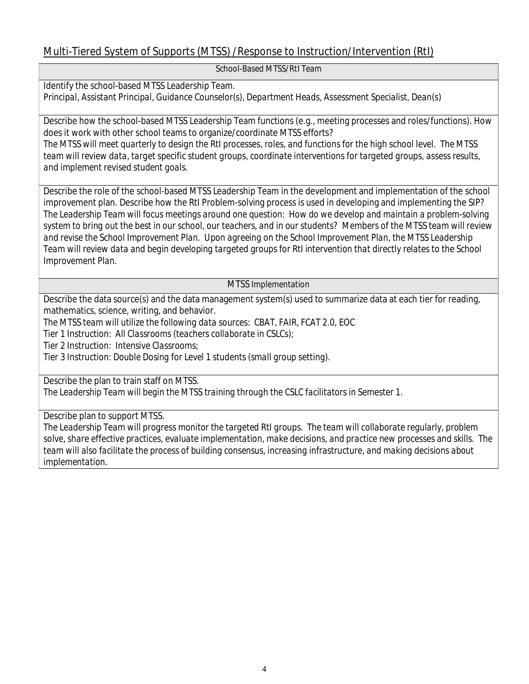### **Multi-Tiered System of Supports (MTSS) /Response to Instruction/Intervention (RtI)**

**School-Based MTSS/RtI Team**

Identify the school-based MTSS Leadership Team. *Principal, Assistant Principal, Guidance Counselor(s), Department Heads, Assessment Specialist, Dean(s)*

Describe how the school-based MTSS Leadership Team functions (e.g., meeting processes and roles/functions). How does it work with other school teams to organize/coordinate MTSS efforts?

The MTSS will meet quarterly to design the RtI processes, roles, and functions for the high school level. The MTSS *team will review data, target specific student groups, coordinate interventions for targeted groups, assess results, and implement revised student goals.*

Describe the role of the school-based MTSS Leadership Team in the development and implementation of the school improvement plan. Describe how the RtI Problem-solving process is used in developing and implementing the SIP? *The Leadership Team will focus meetings around one question: How do we develop and maintain a problem-solving* system to bring out the best in our school, our teachers, and in our students? Members of the MTSS team will review *and revise the School Improvement Plan. Upon agreeing on the School Improvement Plan, the MTSS Leadership* Team will review data and begin developing targeted groups for RtI intervention that directly relates to the School *Improvement Plan.*

**MTSS Implementation**

Describe the data source(s) and the data management system(s) used to summarize data at each tier for reading, mathematics, science, writing, and behavior.

*The MTSS team will utilize the following data sources: CBAT, FAIR, FCAT 2.0, EOC*

*Tier 1 Instruction: All Classrooms (teachers collaborate in CSLCs);*

*Tier 2 Instruction: Intensive Classrooms;*

*Tier 3 Instruction: Double Dosing for Level 1 students (small group setting).*

Describe the plan to train staff on MTSS.

*The Leadership Team will begin the MTSS training through the CSLC facilitators in Semester 1.*

Describe plan to support MTSS.

*The Leadership Team will progress monitor the targeted RtI groups. The team will collaborate regularly, problem solve, share effective practices, evaluate implementation, make decisions, and practice new processes and skills. The team will also facilitate the process of building consensus, increasing infrastructure, and making decisions about implementation.*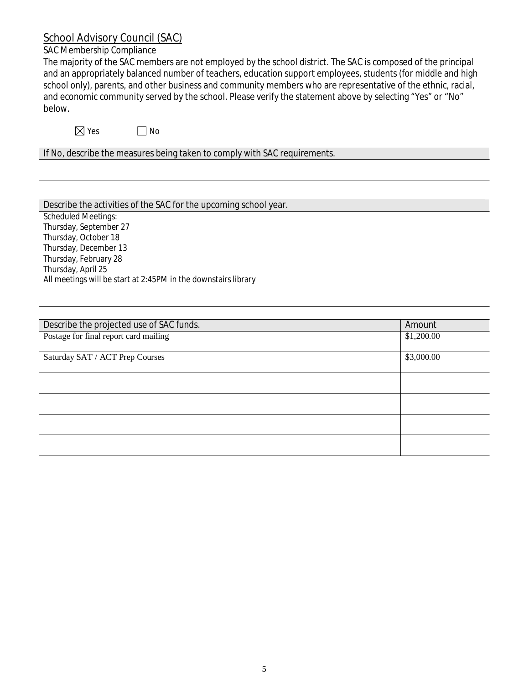### **School Advisory Council (SAC)**

# *SAC Membership Compliance*

The majority of the SAC members are not employed by the school district. The SAC is composed of the principal and an appropriately balanced number of teachers, education support employees, students (for middle and high school only), parents, and other business and community members who are representative of the ethnic, racial, and economic community served by the school. Please verify the statement above by selecting "Yes" or "No" below.

 $\boxtimes$  Yes  $\Box$  No

If No, describe the measures being taken to comply with SAC requirements.

| \$1,200.00 |
|------------|
|            |
| \$3,000.00 |
|            |
|            |
|            |
|            |
|            |
|            |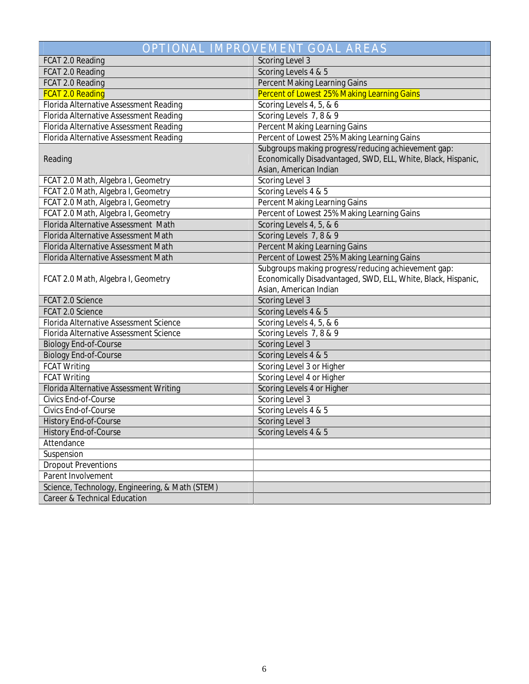| <b>OPTIONAL IMPROVEMENT GOAL AREAS</b>          |                                                                                                                                                |  |  |  |
|-------------------------------------------------|------------------------------------------------------------------------------------------------------------------------------------------------|--|--|--|
| FCAT 2.0 Reading                                | Scoring Level 3                                                                                                                                |  |  |  |
| FCAT 2.0 Reading                                | Scoring Levels 4 & 5                                                                                                                           |  |  |  |
| FCAT 2.0 Reading                                | Percent Making Learning Gains                                                                                                                  |  |  |  |
| FCAT 2.0 Reading                                | Percent of Lowest 25% Making Learning Gains                                                                                                    |  |  |  |
| Florida Alternative Assessment Reading          | Scoring Levels 4, 5, & 6                                                                                                                       |  |  |  |
| Florida Alternative Assessment Reading          | Scoring Levels 7, 8 & 9                                                                                                                        |  |  |  |
| Florida Alternative Assessment Reading          | Percent Making Learning Gains                                                                                                                  |  |  |  |
| Florida Alternative Assessment Reading          | Percent of Lowest 25% Making Learning Gains                                                                                                    |  |  |  |
| Reading                                         | Subgroups making progress/reducing achievement gap:<br>Economically Disadvantaged, SWD, ELL, White, Black, Hispanic,<br>Asian, American Indian |  |  |  |
| FCAT 2.0 Math, Algebra I, Geometry              | Scoring Level 3                                                                                                                                |  |  |  |
| FCAT 2.0 Math, Algebra I, Geometry              | Scoring Levels 4 & 5                                                                                                                           |  |  |  |
| FCAT 2.0 Math, Algebra I, Geometry              | Percent Making Learning Gains                                                                                                                  |  |  |  |
| FCAT 2.0 Math, Algebra I, Geometry              | Percent of Lowest 25% Making Learning Gains                                                                                                    |  |  |  |
| Florida Alternative Assessment Math             | Scoring Levels 4, 5, & 6                                                                                                                       |  |  |  |
| Florida Alternative Assessment Math             | Scoring Levels 7, 8 & 9                                                                                                                        |  |  |  |
| Florida Alternative Assessment Math             | Percent Making Learning Gains                                                                                                                  |  |  |  |
| Florida Alternative Assessment Math             | Percent of Lowest 25% Making Learning Gains                                                                                                    |  |  |  |
| FCAT 2.0 Math, Algebra I, Geometry              | Subgroups making progress/reducing achievement gap:<br>Economically Disadvantaged, SWD, ELL, White, Black, Hispanic,<br>Asian, American Indian |  |  |  |
| FCAT 2.0 Science                                | Scoring Level 3                                                                                                                                |  |  |  |
| FCAT 2.0 Science                                | Scoring Levels 4 & 5                                                                                                                           |  |  |  |
| Florida Alternative Assessment Science          | Scoring Levels 4, 5, & 6                                                                                                                       |  |  |  |
| Florida Alternative Assessment Science          | Scoring Levels 7, 8 & 9                                                                                                                        |  |  |  |
| <b>Biology End-of-Course</b>                    | Scoring Level 3                                                                                                                                |  |  |  |
| <b>Biology End-of-Course</b>                    | Scoring Levels 4 & 5                                                                                                                           |  |  |  |
| FCAT Writing                                    | Scoring Level 3 or Higher                                                                                                                      |  |  |  |
| FCAT Writing                                    | Scoring Level 4 or Higher                                                                                                                      |  |  |  |
| Florida Alternative Assessment Writing          | Scoring Levels 4 or Higher                                                                                                                     |  |  |  |
| Civics End-of-Course                            | Scoring Level 3                                                                                                                                |  |  |  |
| Civics End-of-Course                            | Scoring Levels 4 & 5                                                                                                                           |  |  |  |
| History End-of-Course                           | Scoring Level 3                                                                                                                                |  |  |  |
| History End-of-Course                           | Scoring Levels 4 & 5                                                                                                                           |  |  |  |
| Attendance                                      |                                                                                                                                                |  |  |  |
| Suspension                                      |                                                                                                                                                |  |  |  |
| <b>Dropout Preventions</b>                      |                                                                                                                                                |  |  |  |
| Parent Involvement                              |                                                                                                                                                |  |  |  |
| Science, Technology, Engineering, & Math (STEM) |                                                                                                                                                |  |  |  |
| Career & Technical Education                    |                                                                                                                                                |  |  |  |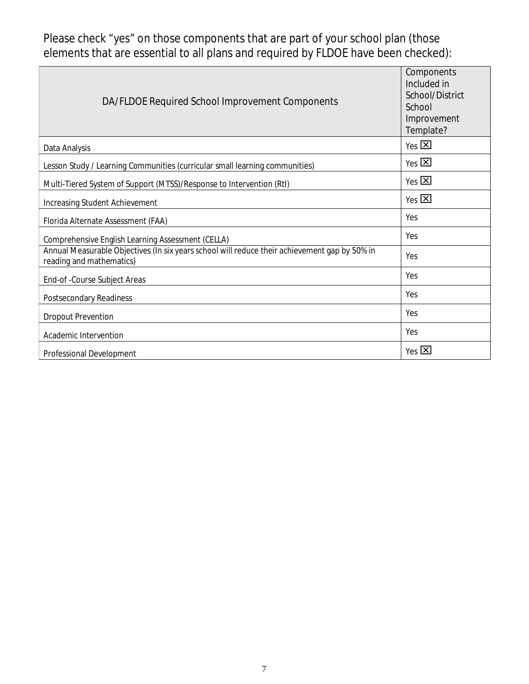Please check "yes"on those components that are part of your school plan (those elements that are essential to all plans and required by FLDOE have been checked):

| DA/FLDOE Required School Improvement Components                                                                           | Components<br>Included in<br>School/District<br>School<br>Improvement<br>Template? |
|---------------------------------------------------------------------------------------------------------------------------|------------------------------------------------------------------------------------|
| Data Analysis                                                                                                             | $Yes$ $\overline{X}$                                                               |
| Lesson Study / Learning Communities (curricular small learning communities)                                               | $Yes$ $\overline{X}$                                                               |
| Multi-Tiered System of Support (MTSS)/Response to Intervention (RtI)                                                      | Yes $\boxtimes$                                                                    |
| Increasing Student Achievement                                                                                            | Yes $\boxtimes$                                                                    |
| Florida Alternate Assessment (FAA)                                                                                        | Yes                                                                                |
| Comprehensive English Learning Assessment (CELLA)                                                                         | Yes                                                                                |
| Annual Measurable Objectives (In six years school will reduce their achievement gap by 50% in<br>reading and mathematics) | Yes                                                                                |
| End-of-Course Subject Areas                                                                                               | Yes                                                                                |
| Postsecondary Readiness                                                                                                   | Yes                                                                                |
| Dropout Prevention                                                                                                        | Yes                                                                                |
| Academic Intervention                                                                                                     | Yes                                                                                |
| Professional Development                                                                                                  | $Yes$ $X$                                                                          |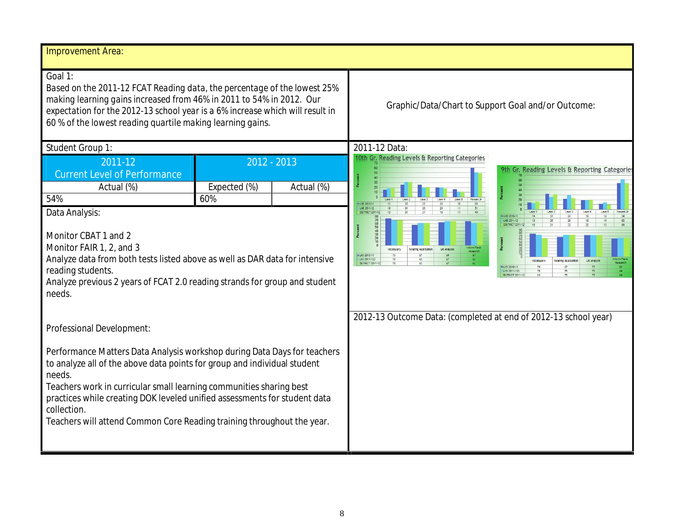| Improvement Area:                                                                                                                                                                                                                                                                                                                                                                                           |                                                                                                                                                                                                                                                                                                                                                                                                                                                          |  |  |
|-------------------------------------------------------------------------------------------------------------------------------------------------------------------------------------------------------------------------------------------------------------------------------------------------------------------------------------------------------------------------------------------------------------|----------------------------------------------------------------------------------------------------------------------------------------------------------------------------------------------------------------------------------------------------------------------------------------------------------------------------------------------------------------------------------------------------------------------------------------------------------|--|--|
| Goal 1:<br>Based on the 2011-12 FCAT Reading data, the percentage of the lowest 25%<br>making learning gains increased from 46% in 2011 to 54% in 2012. Our<br>expectation for the 2012-13 school year is a 6% increase which will result in<br>60 % of the lowest reading quartile making learning gains.                                                                                                  | Graphic/Data/Chart to Support Goal and/or Outcome:                                                                                                                                                                                                                                                                                                                                                                                                       |  |  |
| Student Group 1:                                                                                                                                                                                                                                                                                                                                                                                            | 2011-12 Data                                                                                                                                                                                                                                                                                                                                                                                                                                             |  |  |
| 2012 - 2013<br>2011-12<br><b>Current Level of Performance</b><br>Expected (%)<br>Actual (%)<br>Actual (%)<br>54%<br>60%<br>Data Analysis:<br>Monitor CBAT 1 and 2<br>Monitor FAIR 1, 2, and 3<br>Analyze data from both tests listed above as well as DAR data for intensive<br>reading students.<br>Analyze previous 2 years of FCAT 2.0 reading strands for group and student<br>needs.                   | 10th Gr. Reading Levels & Reporting Categories<br>9th Gr. Reading Levels & Reporting Categories<br>Level 4<br>Lee 5<br>ILHS 2010-11<br>LHS 2011-12<br><b>DISTRICT 2011-12</b><br># LHS 2010-11<br>LHS 2011-12<br>62<br><b>DISTRICT 2011-12</b><br>Percent<br>Vocabulary<br>Reading Application<br><b>BLHS 2010-11</b><br>LHS 2011-122<br>Lit Analysis<br>Reading Applicatio<br><b>DISTRICT 2011-1</b><br><b>BLHS 2010-11</b><br>LHS 2011-122<br>73<br>75 |  |  |
| Professional Development:                                                                                                                                                                                                                                                                                                                                                                                   | 2012-13 Outcome Data: (completed at end of 2012-13 school year)                                                                                                                                                                                                                                                                                                                                                                                          |  |  |
| Performance Matters Data Analysis workshop during Data Days for teachers<br>to analyze all of the above data points for group and individual student<br>needs.<br>Teachers work in curricular small learning communities sharing best<br>practices while creating DOK leveled unified assessments for student data<br>collection.<br>Teachers will attend Common Core Reading training throughout the year. |                                                                                                                                                                                                                                                                                                                                                                                                                                                          |  |  |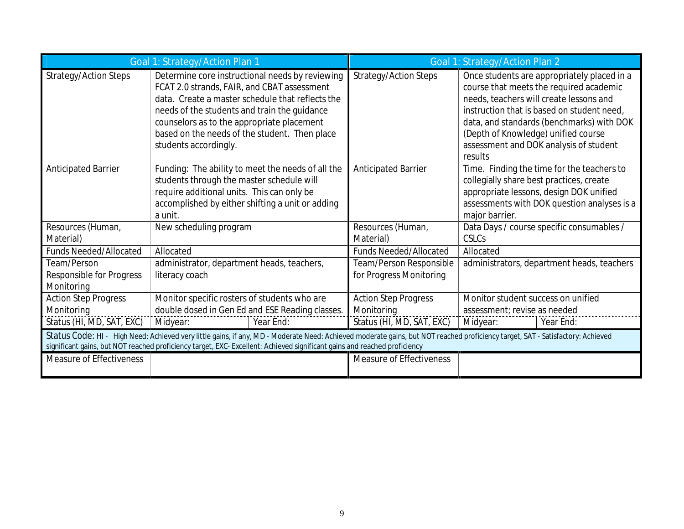|                                                       | Goal 1: Strategy/Action Plan 1                                                                                                                                                                                                                                                                                             |                                                    | Goal 1: Strategy/Action Plan 2                                                                                                                                                                                                                                                                                           |  |
|-------------------------------------------------------|----------------------------------------------------------------------------------------------------------------------------------------------------------------------------------------------------------------------------------------------------------------------------------------------------------------------------|----------------------------------------------------|--------------------------------------------------------------------------------------------------------------------------------------------------------------------------------------------------------------------------------------------------------------------------------------------------------------------------|--|
| Strategy/Action Steps                                 | Determine core instructional needs by reviewing<br>FCAT 2.0 strands, FAIR, and CBAT assessment<br>data. Create a master schedule that reflects the<br>needs of the students and train the guidance<br>counselors as to the appropriate placement<br>based on the needs of the student. Then place<br>students accordingly. | Strategy/Action Steps                              | Once students are appropriately placed in a<br>course that meets the required academic<br>needs, teachers will create lessons and<br>instruction that is based on student need.<br>data, and standards (benchmarks) with DOK<br>(Depth of Knowledge) unified course<br>assessment and DOK analysis of student<br>results |  |
| Anticipated Barrier                                   | Funding: The ability to meet the needs of all the<br>students through the master schedule will<br>require additional units. This can only be<br>accomplished by either shifting a unit or adding<br>a unit.                                                                                                                | Anticipated Barrier                                | Time. Finding the time for the teachers to<br>collegially share best practices, create<br>appropriate lessons, design DOK unified<br>assessments with DOK question analyses is a<br>major barrier.                                                                                                                       |  |
| Resources (Human,<br>Material)                        | New scheduling program                                                                                                                                                                                                                                                                                                     | Resources (Human,<br>Material)                     | Data Days / course specific consumables /<br><b>CSLCs</b>                                                                                                                                                                                                                                                                |  |
| Funds Needed/Allocated                                | Allocated                                                                                                                                                                                                                                                                                                                  | <b>Funds Needed/Allocated</b>                      | Allocated                                                                                                                                                                                                                                                                                                                |  |
| Team/Person<br>Responsible for Progress<br>Monitoring | administrator, department heads, teachers,<br>literacy coach                                                                                                                                                                                                                                                               | Team/Person Responsible<br>for Progress Monitoring | administrators, department heads, teachers                                                                                                                                                                                                                                                                               |  |
| <b>Action Step Progress</b><br>Monitoring             | Monitor specific rosters of students who are<br>double dosed in Gen Ed and ESE Reading classes.                                                                                                                                                                                                                            | <b>Action Step Progress</b><br>Monitoring          | Monitor student success on unified<br>assessment; revise as needed                                                                                                                                                                                                                                                       |  |
| Status (HI, MD, SAT, EXC)                             | Year End:<br>Midyear:                                                                                                                                                                                                                                                                                                      | Status (HI, MD, SAT, EXC)                          | Midyear:<br>Year End:                                                                                                                                                                                                                                                                                                    |  |
|                                                       | Status Code: HI- High Need: Achieved very little gains, if any, MD - Moderate Need: Achieved moderate gains, but NOT reached proficiency target, SAT - Satisfactory: Achieved<br>significant gains, but NOT reached proficiency target, EXC-Excellent: Achieved significant gains and reached proficiency                  |                                                    |                                                                                                                                                                                                                                                                                                                          |  |
| Measure of Effectiveness                              |                                                                                                                                                                                                                                                                                                                            | Measure of Effectiveness                           |                                                                                                                                                                                                                                                                                                                          |  |